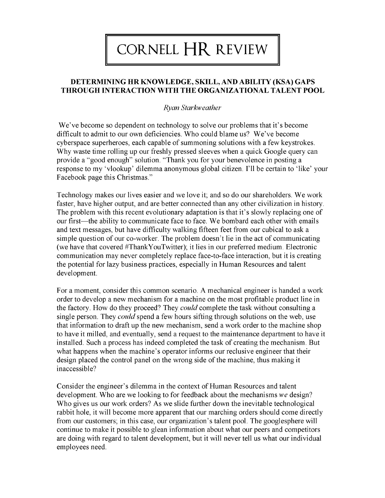## CORNELL HR REVIEW

## **DETERMINING HR KNOWLEDGE, SKILL, AND ABILITY (KSA) GAPS THROUGH INTERACTION WITH THE ORGANIZATIONAL TALENT POOL**

## *Ryan Starkweather*

We've become so dependent on technology to solve our problems that it's become difficult to admit to our own deficiencies. Who could blame us? We've become cyberspace superheroes, each capable of summoning solutions with a few keystrokes. Why waste time rolling up our freshly pressed sleeves when a quick Google query can provide a "good enough" solution. "Thank you for your benevolence in posting a response to my 'vlookup' dilemma anonymous global citizen. I'll be certain to 'like' your Facebook page this Christmas."

Technology makes our lives easier and we love it; and so do our shareholders. We work faster, have higher output, and are better connected than any other civilization in history. The problem with this recent evolutionary adaptation is that it's slowly replacing one of our first—the ability to communicate face to face. We bombard each other with emails and text messages, but have difficulty walking fifteen feet from our cubical to ask a simple question of our co-worker. The problem doesn't lie in the act of communicating (we have that covered #ThankYouTwitter); it lies in our preferred medium. Electronic communication may never completely replace face-to-face interaction, but it is creating the potential for lazy business practices, especially in Human Resources and talent development.

For a moment, consider this common scenario. A mechanical engineer is handed a work order to develop a new mechanism for a machine on the most profitable product line in the factory. How do they proceed? They *could* complete the task without consulting a single person. They *could* spend a few hours sifting through solutions on the web, use that information to draft up the new mechanism, send a work order to the machine shop to have it milled, and eventually, send a request to the maintenance department to have it installed. Such a process has indeed completed the task of creating the mechanism. But what happens when the machine's operator informs our reclusive engineer that their design placed the control panel on the wrong side of the machine, thus making it inaccessible?

Consider the engineer's dilemma in the context of Human Resources and talent development. Who are we looking to for feedback about the mechanisms *we* design? Who gives us our work orders? As we slide further down the inevitable technological rabbit hole, it will become more apparent that our marching orders should come directly from our customers; in this case, our organization's talent pool. The googlesphere will continue to make it possible to glean information about what our peers and competitors are doing with regard to talent development, but it will never tell us what our individual employees need.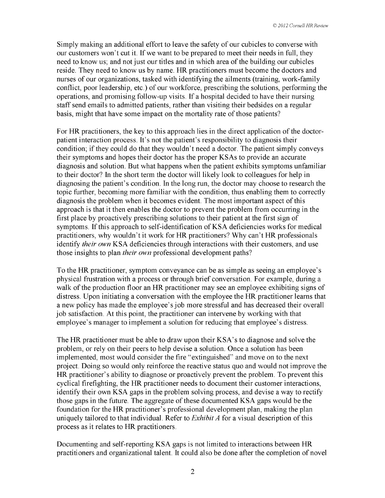Simply making an additional effort to leave the safety of our cubicles to converse with our customers won't cut it. If we want to be prepared to meet their needs in full, they need to know us; and not just our titles and in which area of the building our cubicles reside. They need to know us by name. HR practitioners must become the doctors and nurses of our organizations, tasked with identifying the ailments (training, work-family conflict, poor leadership, etc.) of our workforce, prescribing the solutions, performing the operations, and promising follow-up visits. If a hospital decided to have their nursing staff send emails to admitted patients, rather than visiting their bedsides on a regular basis, might that have some impact on the mortality rate of those patients?

For HR practitioners, the key to this approach lies in the direct application of the doctorpatient interaction process. It's not the patient's responsibility to diagnosis their condition; if they could do that they wouldn't need a doctor. The patient simply conveys their symptoms and hopes their doctor has the proper KSAs to provide an accurate diagnosis and solution. But what happens when the patient exhibits symptoms unfamiliar to their doctor? In the short term the doctor will likely look to colleagues for help in diagnosing the patient's condition. In the long run, the doctor may choose to research the topic further, becoming more familiar with the condition, thus enabling them to correctly diagnosis the problem when it becomes evident. The most important aspect of this approach is that it then enables the doctor to prevent the problem from occurring in the first place by proactively prescribing solutions to their patient at the first sign of symptoms. If this approach to self-identification of KSA deficiencies works for medical practitioners, why wouldn't it work for HR practitioners? Why can't HR professionals identify *their own* KSA deficiencies through interactions with their customers, and use those insights to plan *their own* professional development paths?

To the HR practitioner, symptom conveyance can be as simple as seeing an employee's physical frustration with a process or through brief conversation. For example, during a walk of the production floor an HR practitioner may see an employee exhibiting signs of distress. Upon initiating a conversation with the employee the HR practitioner learns that a new policy has made the employee's job more stressful and has decreased their overall job satisfaction. At this point, the practitioner can intervene by working with that employee's manager to implement a solution for reducing that employee's distress.

The HR practitioner must be able to draw upon their KSA's to diagnose and solve the problem, or rely on their peers to help devise a solution. Once a solution has been implemented, most would consider the fire "extinguished" and move on to the next project. Doing so would only reinforce the reactive status quo and would not improve the HR practitioner's ability to diagnose or proactively prevent the problem. To prevent this cyclical firefighting, the HR practitioner needs to document their customer interactions, identify their own KSA gaps in the problem solving process, and devise a way to rectify those gaps in the future. The aggregate of these documented KSA gaps would be the foundation for the HR practitioner's professional development plan, making the plan uniquely tailored to that individual. Refer to *Exhibit A* for a visual description of this process as it relates to HR practitioners.

Documenting and self-reporting KSA gaps is not limited to interactions between HR practitioners and organizational talent. It could also be done after the completion of novel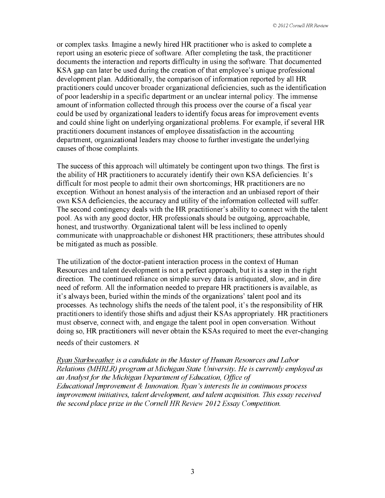or complex tasks. Imagine a newly hired HR practitioner who is asked to complete a report using an esoteric piece of software. After completing the task, the practitioner documents the interaction and reports difficulty in using the software. That documented KSA gap can later be used during the creation of that employee's unique professional development plan. Additionally, the comparison of information reported by all HR practitioners could uncover broader organizational deficiencies, such as the identification of poor leadership in a specific department or an unclear internal policy. The immense amount of information collected through this process over the course of a fiscal year could be used by organizational leaders to identify focus areas for improvement events and could shine light on underlying organizational problems. For example, if several HR practitioners document instances of employee dissatisfaction in the accounting department, organizational leaders may choose to further investigate the underlying causes of those complaints.

The success of this approach will ultimately be contingent upon two things. The first is the ability of HR practitioners to accurately identify their own KSA deficiencies. It's difficult for most people to admit their own shortcomings; HR practitioners are no exception. Without an honest analysis of the interaction and an unbiased report of their own KSA deficiencies, the accuracy and utility of the information collected will suffer. The second contingency deals with the HR practitioner's ability to connect with the talent pool. As with any good doctor, HR professionals should be outgoing, approachable, honest, and trustworthy. Organizational talent will be less inclined to openly communicate with unapproachable or dishonest HR practitioners; these attributes should be mitigated as much as possible.

The utilization of the doctor-patient interaction process in the context of Human Resources and talent development is not a perfect approach, but it is a step in the right direction. The continued reliance on simple survey data is antiquated, slow, and in dire need of reform. All the information needed to prepare HR practitioners is available, as it's always been, buried within the minds of the organizations' talent pool and its processes. As technology shifts the needs of the talent pool, it's the responsibility of HR practitioners to identify those shifts and adjust their KSAs appropriately. HR practitioners must observe, connect with, and engage the talent pool in open conversation. Without doing so, HR practitioners will never obtain the KSAs required to meet the ever-changing

needs of their customers. N

*Ryan Starkweather is a candidate in the Master of Human Resources and Labor Relations (MHRLR) program at Michigan State University. He is currently employed as an Analyst for the Michigan Department of Education, Office of Educational Improvement & Innovation. Ryan's interests lie in continuous process improvement initiatives, talent development, and talent acquisition. This essay received the second place prize in the Cornell HR Review 2012 Essay Competition.*